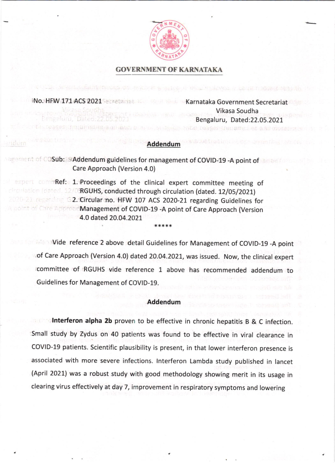

# GOVERNMENT OF KARNATAKA

INo. HFW 171 ACS 2021 Secretariat Lawrence Karnataka Government Secretariat

vseburrajurnaljenjani av

ndum

Vikasa Soudha Bengaluru, Dated:22.05.2021

bould chief Desserinenamen en anden

### Addendum

ragement of COSub: 9 Addendum guidelines for management of COVID-19 -A point of small Care Approach (Version 4.0)

expert commRef: 1. Proceedings of the clinical expert committee meeting of circulation (dated. 12/0RGUHS, conducted through circulation (dated. 12/05/2021) 2020-21 regarding G2. Circular no. HFW 107 ACS 2020-21 regarding Guidelines for **A point of Care ApproacManagement of COVID-19 -A point of Care Approach (Version** 4.0 dated 20.04.2021 \*,\*\*\*\*

> Vide reference 2 above detail Guidelines for Management of COVID-19 -A point of Care Approach (Version 4.0) dated 20.04.2021, was issued. Now, the clinical expert committee of RGUHS vide reference 1 above has recommended addendum to Guidelines for Management of COVID-19.

#### Addendum

Interferon alpha 2b proven to be effective in chronic hepatitis B & C infection. small study by Zydus on 40 patients was found to be effective in viral clearance in covlD-1g patients. scientific plausibility is present, in that lower interferon presence is associated with more severe infections. lnterferon Lambda study published in lancet (April 2021) was a robust study with good methodology showing merit in its usage in clearing virus effectively at day 7, improvement in respiratory symptoms and lowering